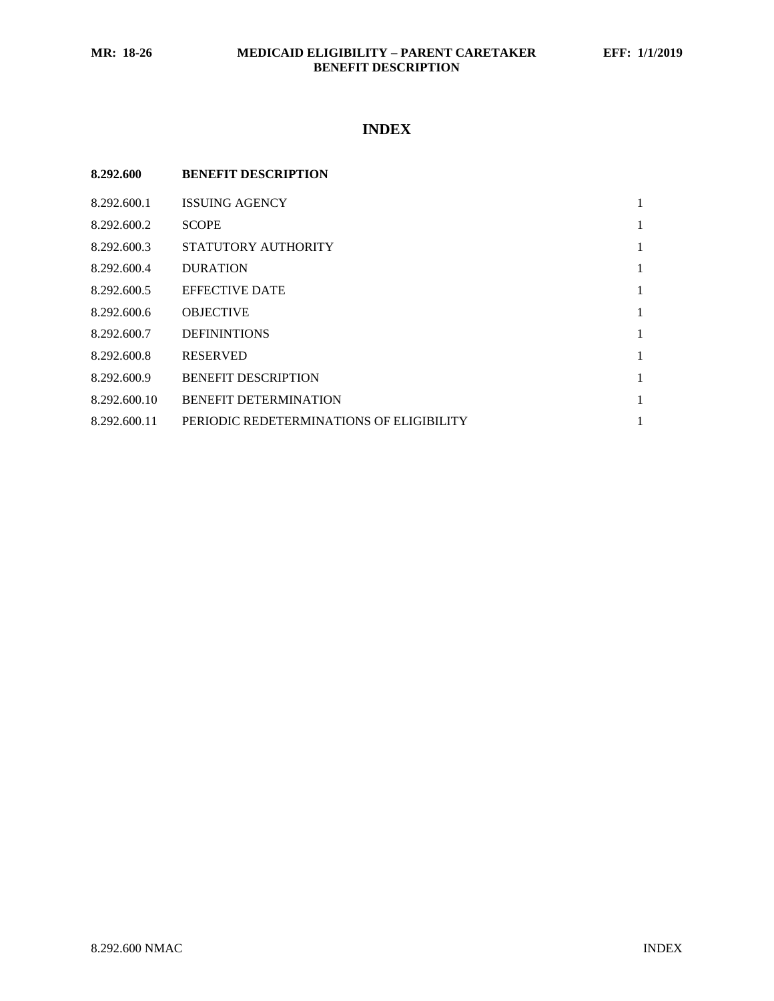# **INDEX**

| 8.292.600    | <b>BENEFIT DESCRIPTION</b>               |   |
|--------------|------------------------------------------|---|
| 8.292.600.1  | <b>ISSUING AGENCY</b>                    | 1 |
| 8.292.600.2  | <b>SCOPE</b>                             |   |
| 8.292.600.3  | STATUTORY AUTHORITY                      | 1 |
| 8.292.600.4  | <b>DURATION</b>                          | 1 |
| 8.292.600.5  | <b>EFFECTIVE DATE</b>                    | 1 |
| 8.292.600.6  | <b>OBJECTIVE</b>                         | 1 |
| 8.292.600.7  | <b>DEFININTIONS</b>                      | 1 |
| 8.292.600.8  | <b>RESERVED</b>                          | 1 |
| 8.292.600.9  | <b>BENEFIT DESCRIPTION</b>               | 1 |
| 8.292.600.10 | <b>BENEFIT DETERMINATION</b>             | 1 |
| 8.292.600.11 | PERIODIC REDETERMINATIONS OF ELIGIBILITY | 1 |